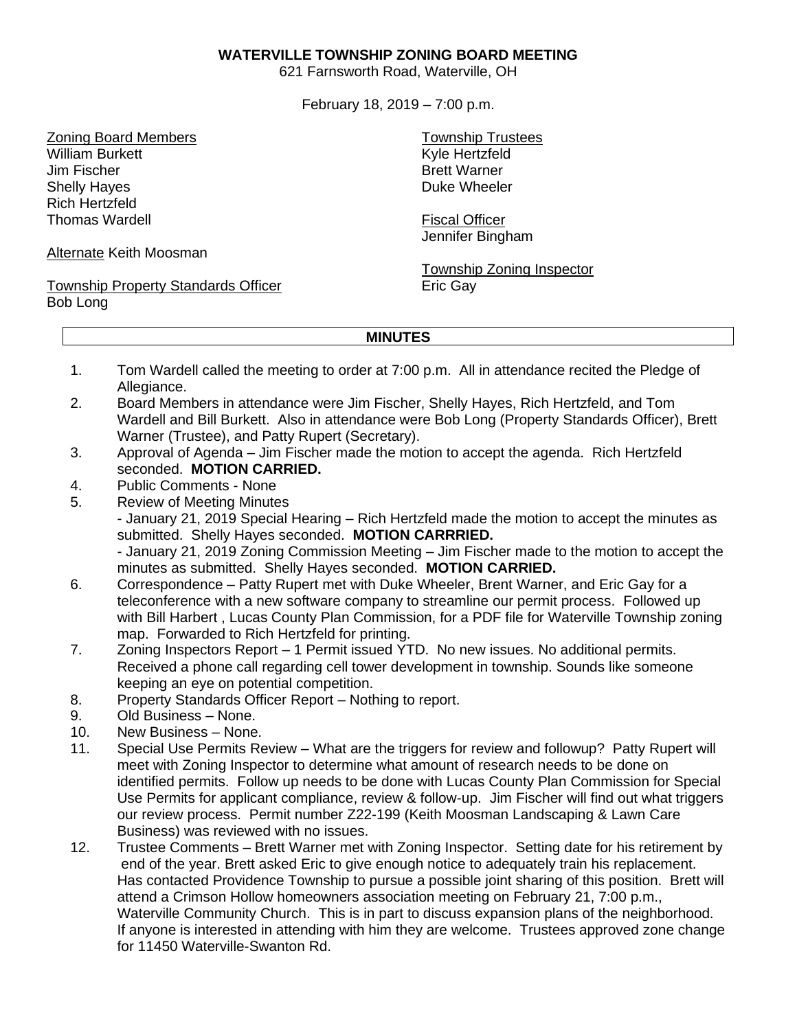## **WATERVILLE TOWNSHIP ZONING BOARD MEETING**

621 Farnsworth Road, Waterville, OH

February 18, 2019 – 7:00 p.m.

Zoning Board Members William Burkett Jim Fischer Shelly Hayes Rich Hertzfeld Thomas Wardell

Alternate Keith Moosman

Township Property Standards Officer Bob Long

Township Trustees Kyle Hertzfeld Brett Warner Duke Wheeler

Fiscal Officer Jennifer Bingham

Township Zoning Inspector Eric Gay

## **MINUTES**

- 1. Tom Wardell called the meeting to order at 7:00 p.m. All in attendance recited the Pledge of Allegiance.
- 2. Board Members in attendance were Jim Fischer, Shelly Hayes, Rich Hertzfeld, and Tom Wardell and Bill Burkett. Also in attendance were Bob Long (Property Standards Officer), Brett Warner (Trustee), and Patty Rupert (Secretary).
- 3. Approval of Agenda Jim Fischer made the motion to accept the agenda. Rich Hertzfeld seconded. **MOTION CARRIED.**
- 4. Public Comments None
- 5. Review of Meeting Minutes

- January 21, 2019 Special Hearing – Rich Hertzfeld made the motion to accept the minutes as submitted. Shelly Hayes seconded. **MOTION CARRRIED.**

- January 21, 2019 Zoning Commission Meeting – Jim Fischer made to the motion to accept the minutes as submitted. Shelly Hayes seconded. **MOTION CARRIED.**

- 6. Correspondence Patty Rupert met with Duke Wheeler, Brent Warner, and Eric Gay for a teleconference with a new software company to streamline our permit process. Followed up with Bill Harbert , Lucas County Plan Commission, for a PDF file for Waterville Township zoning map. Forwarded to Rich Hertzfeld for printing.
- 7. Zoning Inspectors Report 1 Permit issued YTD. No new issues. No additional permits. Received a phone call regarding cell tower development in township. Sounds like someone keeping an eye on potential competition.
- 8. Property Standards Officer Report Nothing to report.
- 9. Old Business None.
- 10. New Business None.
- 11. Special Use Permits Review What are the triggers for review and followup? Patty Rupert will meet with Zoning Inspector to determine what amount of research needs to be done on identified permits. Follow up needs to be done with Lucas County Plan Commission for Special Use Permits for applicant compliance, review & follow-up. Jim Fischer will find out what triggers our review process. Permit number Z22-199 (Keith Moosman Landscaping & Lawn Care Business) was reviewed with no issues.
- 12. Trustee Comments Brett Warner met with Zoning Inspector. Setting date for his retirement by end of the year. Brett asked Eric to give enough notice to adequately train his replacement. Has contacted Providence Township to pursue a possible joint sharing of this position. Brett will attend a Crimson Hollow homeowners association meeting on February 21, 7:00 p.m., Waterville Community Church. This is in part to discuss expansion plans of the neighborhood. If anyone is interested in attending with him they are welcome. Trustees approved zone change for 11450 Waterville-Swanton Rd.